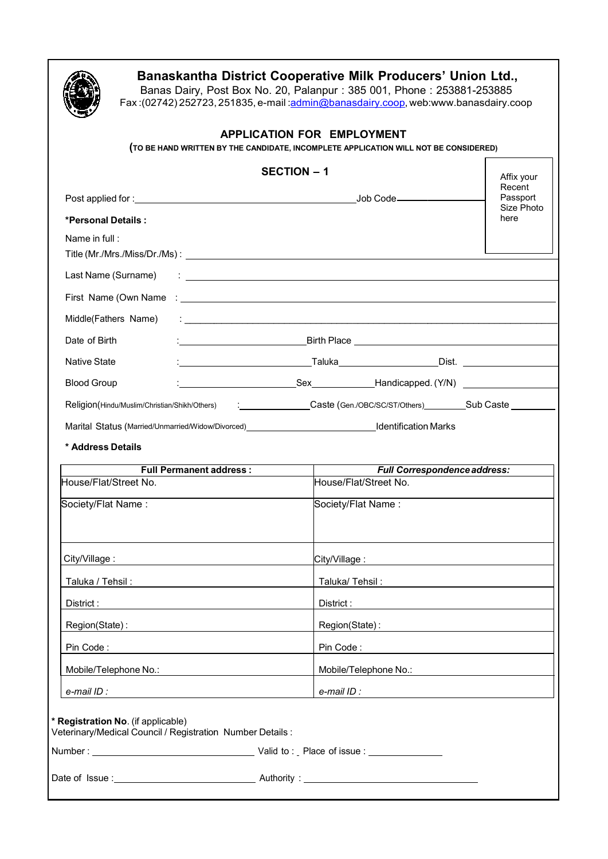

## **Banaskantha District Cooperative Milk Producers' Union Ltd.,**

Banas Dairy, Post Box No. 20, Palanpur: 385 001, Phone: 253881-253885 Fax :(02742) 252723, 251835, e-mail :<u>admin@banasdairy.coop,</u> web:www.banasdairy.coop

## **APPLICATION FOR EMPLOYMENT**

**(TO BE HAND WRITTEN BY THE CANDIDATE, INCOMPLETE APPLICATION WILL NOT BE CONSIDERED)**

|                                                                                                 | <b>SECTION - 1</b>                                                                                                   |                    |  |  |  |  |
|-------------------------------------------------------------------------------------------------|----------------------------------------------------------------------------------------------------------------------|--------------------|--|--|--|--|
|                                                                                                 |                                                                                                                      | Recent<br>Passport |  |  |  |  |
| *Personal Details:                                                                              |                                                                                                                      | Size Photo<br>here |  |  |  |  |
| Name in full:                                                                                   |                                                                                                                      |                    |  |  |  |  |
|                                                                                                 |                                                                                                                      |                    |  |  |  |  |
|                                                                                                 |                                                                                                                      |                    |  |  |  |  |
|                                                                                                 |                                                                                                                      |                    |  |  |  |  |
| Middle(Fathers Name)                                                                            | <u> 1986 - Johann Stein, fransk politik (d. 1986)</u>                                                                |                    |  |  |  |  |
| Date of Birth                                                                                   |                                                                                                                      |                    |  |  |  |  |
| <b>Native State</b>                                                                             |                                                                                                                      |                    |  |  |  |  |
| <b>Blood Group</b>                                                                              |                                                                                                                      |                    |  |  |  |  |
|                                                                                                 | Religion(Hindu/Muslim/Christian/Shikh/Others) : Caste (Gen./OBC/SC/ST/Others) _______________Sub Caste _____________ |                    |  |  |  |  |
|                                                                                                 |                                                                                                                      |                    |  |  |  |  |
| * Address Details                                                                               |                                                                                                                      |                    |  |  |  |  |
| <b>Full Permanent address:</b>                                                                  | Full Correspondence address:                                                                                         |                    |  |  |  |  |
| House/Flat/Street No.                                                                           | House/Flat/Street No.                                                                                                |                    |  |  |  |  |
| Society/Flat Name:                                                                              | Society/Flat Name:                                                                                                   |                    |  |  |  |  |
|                                                                                                 |                                                                                                                      |                    |  |  |  |  |
|                                                                                                 | City/Village <u>: _____________________________</u>                                                                  |                    |  |  |  |  |
| Taluka / Tehsil:                                                                                |                                                                                                                      |                    |  |  |  |  |
| District :                                                                                      | District:                                                                                                            |                    |  |  |  |  |
| Region(State):                                                                                  | Region(State):                                                                                                       |                    |  |  |  |  |
| Pin Code:                                                                                       | Pin Code:                                                                                                            |                    |  |  |  |  |
| Mobile/Telephone No.:                                                                           | Mobile/Telephone No.:                                                                                                |                    |  |  |  |  |
| e-mail ID :                                                                                     | e-mail ID:                                                                                                           |                    |  |  |  |  |
| * Registration No. (if applicable)<br>Veterinary/Medical Council / Registration Number Details: |                                                                                                                      |                    |  |  |  |  |
|                                                                                                 |                                                                                                                      |                    |  |  |  |  |
|                                                                                                 |                                                                                                                      |                    |  |  |  |  |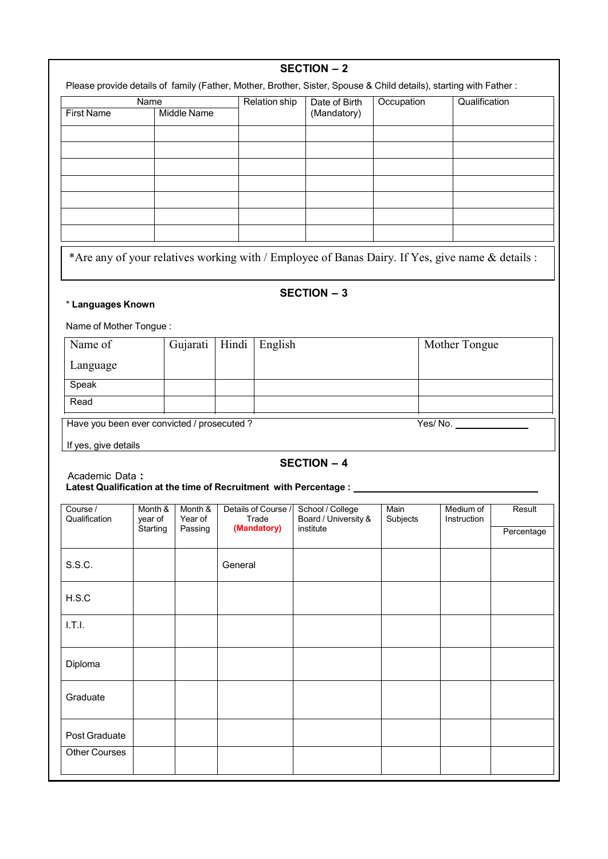|                                             |                    |                            |         |                              | <b>SECTION - 2</b><br>Please provide details of family (Father, Mother, Brother, Sister, Spouse & Child details), starting with Father: |                  |                          |            |
|---------------------------------------------|--------------------|----------------------------|---------|------------------------------|-----------------------------------------------------------------------------------------------------------------------------------------|------------------|--------------------------|------------|
|                                             | Name               |                            |         | <b>Relation ship</b>         | Date of Birth                                                                                                                           | Occupation       | Qualification            |            |
| <b>First Name</b>                           | <b>Middle Name</b> |                            |         | (Mandatory)                  |                                                                                                                                         |                  |                          |            |
|                                             |                    |                            |         |                              |                                                                                                                                         |                  |                          |            |
|                                             |                    |                            |         |                              |                                                                                                                                         |                  |                          |            |
|                                             |                    |                            |         |                              |                                                                                                                                         |                  |                          |            |
|                                             |                    |                            |         |                              |                                                                                                                                         |                  |                          |            |
|                                             |                    |                            |         |                              |                                                                                                                                         |                  |                          |            |
|                                             |                    |                            |         |                              |                                                                                                                                         |                  |                          |            |
|                                             |                    |                            |         |                              | *Are any of your relatives working with / Employee of Banas Dairy. If Yes, give name & details :                                        |                  |                          |            |
| * Languages Known                           |                    |                            |         |                              | <b>SECTION - 3</b>                                                                                                                      |                  |                          |            |
| Name of Mother Tongue:                      |                    |                            |         |                              |                                                                                                                                         |                  |                          |            |
| Name of                                     |                    | Gujarati                   | Hindi   | English                      |                                                                                                                                         |                  | Mother Tongue            |            |
| Language                                    |                    |                            |         |                              |                                                                                                                                         |                  |                          |            |
| Speak                                       |                    |                            |         |                              |                                                                                                                                         |                  |                          |            |
| Read                                        |                    |                            |         |                              |                                                                                                                                         |                  |                          |            |
| Have you been ever convicted / prosecuted ? |                    |                            |         |                              |                                                                                                                                         |                  | Yes/No.                  |            |
| If yes, give details                        |                    |                            |         |                              |                                                                                                                                         |                  |                          |            |
| Academic Data:                              |                    |                            |         |                              | <b>SECTION - 4</b><br>Latest Qualification at the time of Recruitment with Percentage : ___                                             |                  |                          |            |
| Course /<br>Qualification                   | year of            | Month & Month &<br>Year of |         | Details of Course /<br>Trade | School / College<br>Board / University &                                                                                                | Main<br>Subjects | Medium of<br>Instruction | Result     |
|                                             | Starting           | Passing                    |         | (Mandatory)                  | institute                                                                                                                               |                  |                          | Percentage |
| S.S.C.                                      |                    |                            | General |                              |                                                                                                                                         |                  |                          |            |
| H.S.C                                       |                    |                            |         |                              |                                                                                                                                         |                  |                          |            |
| 1.7.1.                                      |                    |                            |         |                              |                                                                                                                                         |                  |                          |            |
|                                             |                    |                            |         |                              |                                                                                                                                         |                  |                          |            |
| Diploma                                     |                    |                            |         |                              |                                                                                                                                         |                  |                          |            |
| Graduate                                    |                    |                            |         |                              |                                                                                                                                         |                  |                          |            |
| Post Graduate                               |                    |                            |         |                              |                                                                                                                                         |                  |                          |            |